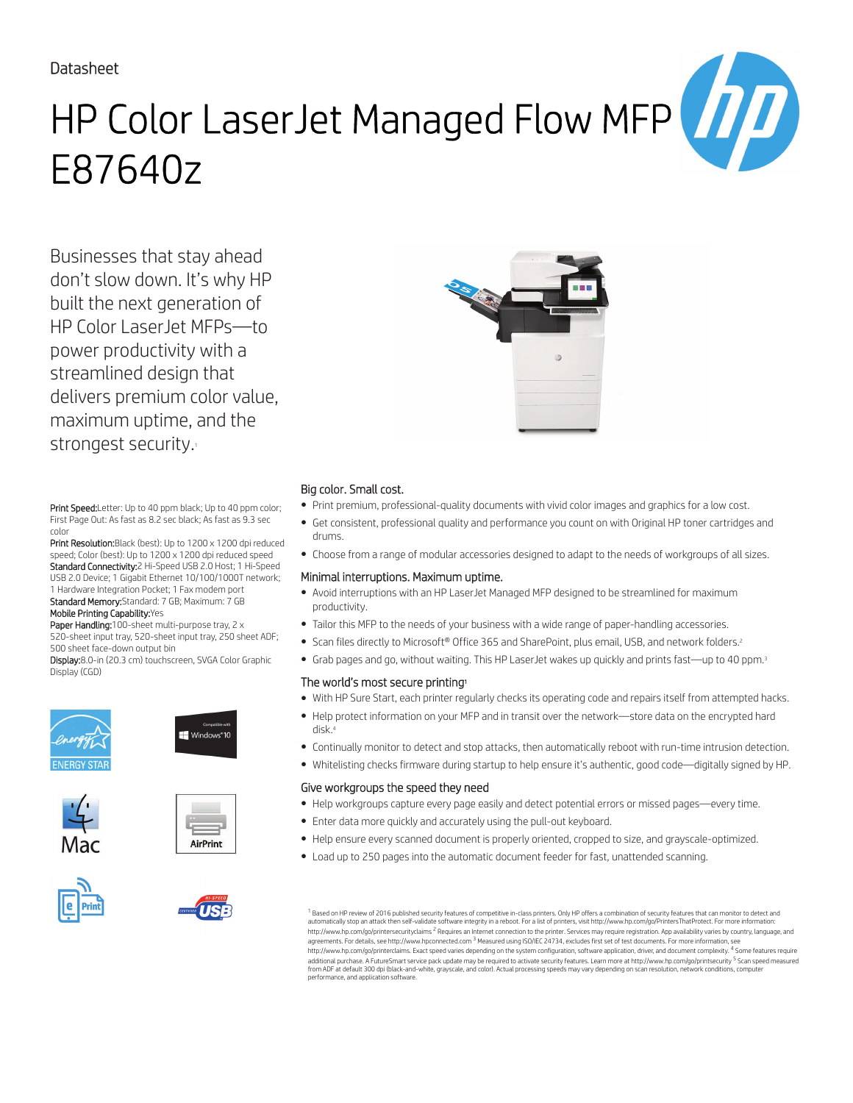### Datasheet

# HP Color LaserJet Managed Flow MFP E87640z

Businesses that stay ahead don't slow down. It's why HP built the next generation of HP Color LaserJet MFPs—to power productivity with a streamlined design that delivers premium color value, maximum uptime, and the strongest security.<sup>1</sup>

Print Speed: Letter: Up to 40 ppm black; Up to 40 ppm color; First Page Out: As fast as 8.2 sec black; As fast as 9.3 sec color

Print Resolution: Black (best): Up to 1200 x 1200 dpi reduced speed; Color (best): Up to 1200 x 1200 dpi reduced speed Standard Connectivity:2 Hi-Speed USB 2.0 Host; 1 Hi-Speed USB 2.0 Device; 1 Gigabit Ethernet 10/100/1000T network; 1 Hardware Integration Pocket; 1 Fax modem port Standard Memory:Standard: 7 GB; Maximum: 7 GB Mobile Printing Capability:Yes

Paper Handling:100-sheet multi-purpose tray, 2 x 520-sheet input tray, 520-sheet input tray, 250 sheet ADF; 500 sheet face-down output bin

Display:8.0-in (20.3 cm) touchscreen, SVGA Color Graphic Display (CGD)













#### Big color. Small cost.

- Print premium, professional-quality documents with vivid color images and graphics for a low cost.
- Get consistent, professional quality and performance you count on with Original HP toner cartridges and drums.
- Choose from a range of modular accessories designed to adapt to the needs of workgroups of all sizes.

#### Minimal interruptions. Maximum uptime.

- Avoid interruptions with an HP LaserJet Managed MFP designed to be streamlined for maximum productivity.
- Tailor this MFP to the needs of your business with a wide range of paper-handling accessories.
- Scan files directly to Microsoft® Office 365 and SharePoint, plus email, USB, and network folders.<sup>2</sup>
- Grab pages and go, without waiting. This HP LaserJet wakes up quickly and prints fast—up to 40 ppm.<sup>3</sup>

#### The world's most secure printing<sup>1</sup>

- With HP Sure Start, each printer regularly checks its operating code and repairs itself from attempted hacks.
- Help protect information on your MFP and in transit over the network—store data on the encrypted hard disk.<sup>4</sup>
- Continually monitor to detect and stop attacks, then automatically reboot with run-time intrusion detection.
- Whitelisting checks firmware during startup to help ensure it's authentic, good code—digitally signed by HP.

#### Give workgroups the speed they need

- Help workgroups capture every page easily and detect potential errors or missed pages—every time.
- Enter data more quickly and accurately using the pull-out keyboard.
- Help ensure every scanned document is properly oriented, cropped to size, and grayscale-optimized.
- Load up to 250 pages into the automatic document feeder for fast, unattended scanning.

 $^{\rm 1}$  Based on HP review of 2016 published security features of competitive in-class printers. Only HP offers a combination of security features that can monitor to detect and automatically stop an attack then self-validate software integrity in a reboot. For a list of printers, visit http://www.hp.com/go/PrintersThatProtect. For more information:<br>http://www.hp.com/go/printersecurityclaims <sup>2</sup> R agreements. For details, see http://www.hpconnected.com <sup>3</sup> Measured using ISO/IEC 24734, excludes first set of test documents. For more information, see http://www.hp.com/go/printerclaims. Exact speed varies depending on the system configuration, software application, driver, and document complexity. <sup>4</sup> Some features require<br>additional purchase. A FutureSmart service pack from ADF at default 300 dpi (black-and-white, grayscale, and color). Actual processing speeds may vary depending on scan resolution, network conditions, computer performance, and application software.